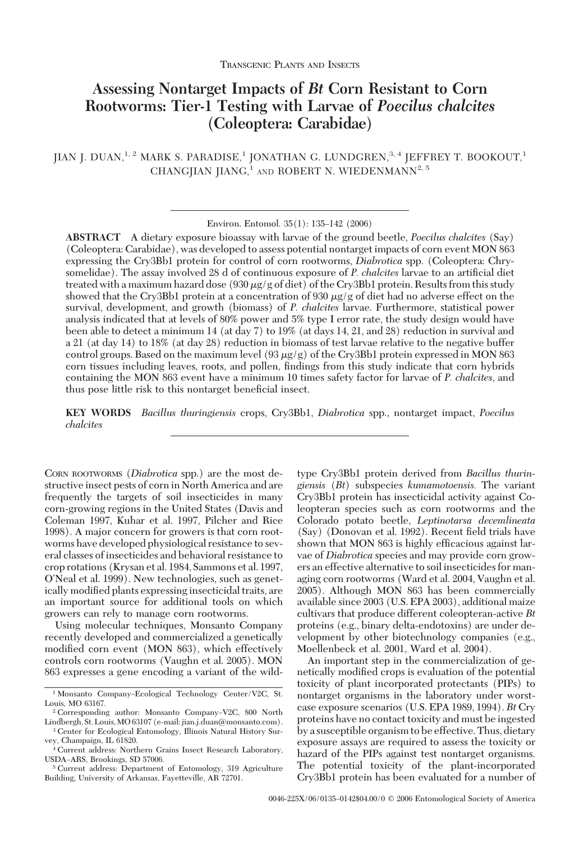# **Assessing Nontarget Impacts of** *Bt* **Corn Resistant to Corn Rootworms: Tier-1 Testing with Larvae of** *Poecilus chalcites* **(Coleoptera: Carabidae)**

JIAN J. DUAN,<sup>1, 2</sup> MARK S. PARADISE,<sup>1</sup> JONATHAN G. LUNDGREN,<sup>3, 4</sup> JEFFREY T. BOOKOUT,<sup>1</sup> CHANGJIAN JIANG,<sup>1</sup> AND ROBERT N. WIEDENMANN<sup>2, 5</sup>

**ABSTRACT** A dietary exposure bioassay with larvae of the ground beetle, *Poecilus chalcites* (Say) (Coleoptera: Carabidae), was developed to assess potential nontarget impacts of corn event MON 863 expressing the Cry3Bb1 protein for control of corn rootworms, *Diabrotica* spp. (Coleoptera: Chrysomelidae). The assay involved 28 d of continuous exposure of *P. chalcites* larvae to an artificial diet treated with a maximum hazard dose (930  $\mu$ g/g of diet) of the Cry3Bb1 protein. Results from this study showed that the Cry3Bb1 protein at a concentration of 930  $\mu$ g/g of diet had no adverse effect on the survival, development, and growth (biomass) of *P. chalcites* larvae. Furthermore, statistical power analysis indicated that at levels of 80% power and 5% type I error rate, the study design would have been able to detect a minimum 14 (at day 7) to 19% (at days 14, 21, and 28) reduction in survival and a 21 (at day 14) to 18% (at day 28) reduction in biomass of test larvae relative to the negative buffer control groups. Based on the maximum level (93  $\mu$ g/g) of the Cry3Bb1 protein expressed in MON 863 corn tissues including leaves, roots, and pollen, findings from this study indicate that corn hybrids containing the MON 863 event have a minimum 10 times safety factor for larvae of *P. chalcites*, and thus pose little risk to this nontarget beneficial insect.

**KEY WORDS** *Bacillus thuringiensis* crops, Cry3Bb1, *Diabrotica* spp., nontarget impact, *Poecilus chalcites*

CORN ROOTWORMS (*Diabrotica* spp.) are the most destructive insect pests of corn in North America and are frequently the targets of soil insecticides in many corn-growing regions in the United States (Davis and Coleman 1997, Kuhar et al. 1997, Pilcher and Rice 1998). A major concern for growers is that corn rootworms have developed physiological resistance to several classes of insecticides and behavioral resistance to crop rotations (Krysan et al. 1984, Sammons et al. 1997, O'Neal et al. 1999). New technologies, such as genetically modified plants expressing insecticidal traits, are an important source for additional tools on which growers can rely to manage corn rootworms.

Using molecular techniques, Monsanto Company recently developed and commercialized a genetically modified corn event (MON 863), which effectively controls corn rootworms (Vaughn et al. 2005). MON 863 expresses a gene encoding a variant of the wild-

<sup>2</sup> Corresponding author: Monsanto Company-V2C, 800 North Lindbergh, St. Louis,MO 63107 (e-mail: jian.j.duan@monsanto.com). type Cry3Bb1 protein derived from *Bacillus thuringiensis* (*Bt*) subspecies *kumamotoensis.* The variant Cry3Bb1 protein has insecticidal activity against Coleopteran species such as corn rootworms and the Colorado potato beetle, *Leptinotarsa decemlineata*  $(Say)$  (Donovan et al. 1992). Recent field trials have shown that MON 863 is highly efficacious against larvae of *Diabrotica* species and may provide corn growers an effective alternative to soil insecticides for managing corn rootworms (Ward et al. 2004, Vaughn et al. 2005). Although MON 863 has been commercially available since 2003 (U.S. EPA 2003), additional maize cultivars that produce different coleopteran-active *Bt* proteins (e.g., binary delta-endotoxins) are under development by other biotechnology companies (e.g., Moellenbeck et al. 2001, Ward et al. 2004).

An important step in the commercialization of genetically modified crops is evaluation of the potential toxicity of plant incorporated protectants (PIPs) to nontarget organisms in the laboratory under worstcase exposure scenarios (U.S. EPA 1989, 1994). *Bt* Cry proteins have no contact toxicity and must be ingested by a susceptible organism to be effective. Thus, dietary exposure assays are required to assess the toxicity or hazard of the PIPs against test nontarget organisms. The potential toxicity of the plant-incorporated Cry3Bb1 protein has been evaluated for a number of

Environ. Entomol. 35(1): 135-142 (2006)

<sup>&</sup>lt;sup>1</sup> Monsanto Company-Ecological Technology Center/V2C, St. Louis, MO 63167.

<sup>3</sup> Center for Ecological Entomology, Illinois Natural History Survey, Champaign, IL 61820. <sup>4</sup> Current address: Northern Grains Insect Research Laboratory,

USDA-ARS, Brookings, SD 57006.

<sup>5</sup> Current address: Department of Entomology, 319 Agriculture Building, University of Arkansas, Fayetteville, AR 72701.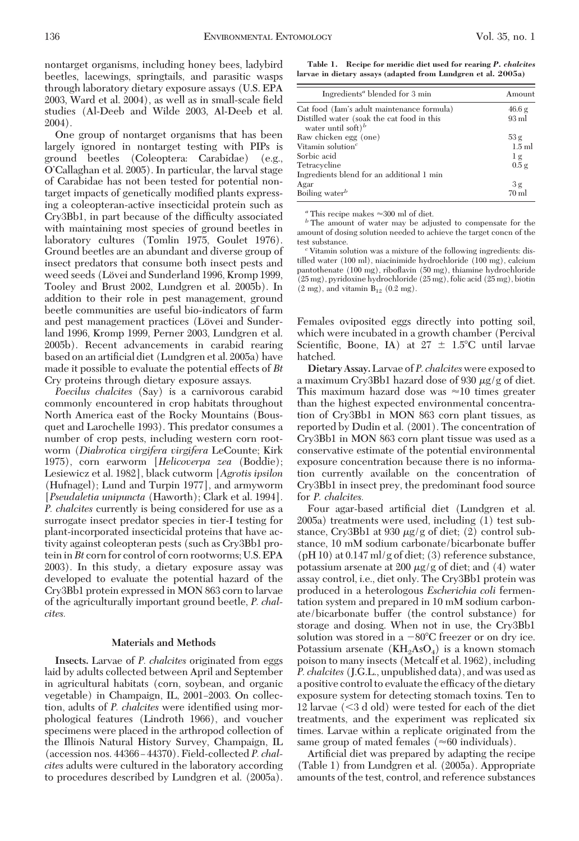nontarget organisms, including honey bees, ladybird beetles, lacewings, springtails, and parasitic wasps through laboratory dietary exposure assays (U.S. EPA 2003, Ward et al. 2004), as well as in small-scale field studies (Al-Deeb and Wilde 2003, Al-Deeb et al. 2004).

One group of nontarget organisms that has been largely ignored in nontarget testing with PIPs is ground beetles (Coleoptera: Carabidae) (e.g., O'Callaghan et al. 2005). In particular, the larval stage of Carabidae has not been tested for potential nontarget impacts of genetically modified plants expressing a coleopteran-active insecticidal protein such as Cry3Bb1, in part because of the difficulty associated with maintaining most species of ground beetles in laboratory cultures (Tomlin 1975, Goulet 1976). Ground beetles are an abundant and diverse group of insect predators that consume both insect pests and weed seeds (Lövei and Sunderland 1996, Kromp 1999, Tooley and Brust 2002, Lundgren et al. 2005b). In addition to their role in pest management, ground beetle communities are useful bio-indicators of farm and pest management practices (Lövei and Sunderland 1996, Kromp 1999, Perner 2003, Lundgren et al. 2005b). Recent advancements in carabid rearing based on an artificial diet (Lundgren et al. 2005a) have made it possible to evaluate the potential effects of *Bt* Cry proteins through dietary exposure assays.

*Poecilus chalcites* (Say) is a carnivorous carabid commonly encountered in crop habitats throughout North America east of the Rocky Mountains (Bousquet and Larochelle 1993). This predator consumes a number of crop pests, including western corn rootworm (*Diabrotica virgifera virgifera* LeCounte; Kirk 1975), corn earworm [*Helicoverpa zea* (Boddie); Lesiewicz et al. 1982], black cutworm [*Agrotis ipsilon* (Hufnagel); Lund and Turpin 1977], and armyworm [*Pseudaletia unipuncta* (Haworth); Clark et al. 1994]. *P. chalcites* currently is being considered for use as a surrogate insect predator species in tier-I testing for plant-incorporated insecticidal proteins that have activity against coleopteran pests (such as Cry3Bb1 protein in*Bt* corn for control of corn rootworms; U.S. EPA 2003). In this study, a dietary exposure assay was developed to evaluate the potential hazard of the Cry3Bb1 protein expressed in MON 863 corn to larvae of the agriculturally important ground beetle, *P. chalcites.*

# **Materials and Methods**

**Insects.** Larvae of *P. chalcites* originated from eggs laid by adults collected between April and September in agricultural habitats (corn, soybean, and organic vegetable) in Champaign, IL, 2001–2003. On collection, adults of *P. chalcites* were identified using morphological features (Lindroth 1966), and voucher specimens were placed in the arthropod collection of the Illinois Natural History Survey, Champaign, IL (accession nos. 44366-44370). Field-collected P. chal*cites* adults were cultured in the laboratory according to procedures described by Lundgren et al. (2005a).

**Table 1. Recipe for meridic diet used for rearing** *P. chalcites* **larvae in dietary assays (adapted from Lundgren et al. 2005a)**

| Ingredients <sup>a</sup> blended for 3 min                                   | Amount          |
|------------------------------------------------------------------------------|-----------------|
| Cat food (Iam's adult maintenance formula)                                   | 46.6 g          |
| Distilled water (soak the cat food in this<br>water until soft) <sup>b</sup> | $93 \text{ ml}$ |
| Raw chicken egg (one)                                                        | 53g             |
| Vitamin solution <sup><math>c</math></sup>                                   | $1.5$ ml        |
| Sorbic acid                                                                  | 1 <sub>g</sub>  |
| Tetracycline                                                                 | 0.5g            |
| Ingredients blend for an additional 1 min                                    |                 |
| Agar                                                                         | 3g              |
| Boiling water <sup>b</sup>                                                   | $70 \text{ ml}$ |

 $^a$  This recipe makes  ${\approx}300$  ml of diet.  $^b$  The amount of water may be adjusted to compensate for the amount of dosing solution needed to achieve the target concn of the

<sup>c</sup> Vitamin solution was a mixture of the following ingredients: distilled water (100 ml), niacinimide hydrochloride (100 mg), calcium pantothenate (100 mg), riboßavin (50 mg), thiamine hydrochloride (25 mg), pyridoxine hydrochloride (25 mg), folic acid (25 mg), biotin  $(2 \text{ mg})$ , and vitamin  $B_{12}$   $(0.2 \text{ mg})$ .

Females oviposited eggs directly into potting soil, which were incubated in a growth chamber (Percival Scientific, Boone, IA) at  $27 \pm 1.5^{\circ}$ C until larvae hatched.

**Dietary Assay.**Larvae of *P. chalcites*were exposed to a maximum Cry3Bb1 hazard dose of 930  $\mu$ g/g of diet. This maximum hazard dose was  $\approx 10$  times greater than the highest expected environmental concentration of Cry3Bb1 in MON 863 corn plant tissues, as reported by Dudin et al. (2001). The concentration of Cry3Bb1 in MON 863 corn plant tissue was used as a conservative estimate of the potential environmental exposure concentration because there is no information currently available on the concentration of Cry3Bb1 in insect prey, the predominant food source for *P. chalcites.*

Four agar-based artificial diet (Lundgren et al. 2005a) treatments were used, including (1) test substance, Cry3Bb1 at 930  $\mu$ g/g of diet; (2) control substance, 10 mM sodium carbonate/bicarbonate buffer (pH 10) at 0.147 ml/g of diet; (3) reference substance, potassium arsenate at 200  $\mu$ g/g of diet; and (4) water assay control, i.e., diet only. The Cry3Bb1 protein was produced in a heterologous *Escherichia coli* fermentation system and prepared in 10 mM sodium carbonate/bicarbonate buffer (the control substance) for storage and dosing. When not in use, the Cry3Bb1 solution was stored in a  $-80^{\circ}$ C freezer or on dry ice. Potassium arsenate  $(KH_2AsO_4)$  is a known stomach poison to many insects (Metcalf et al. 1962), including *P. chalcites* (J.G.L., unpublished data), and was used as a positive control to evaluate the efficacy of the dietary exposure system for detecting stomach toxins. Ten to 12 larvae  $(< 3 d$  old) were tested for each of the diet treatments, and the experiment was replicated six times. Larvae within a replicate originated from the same group of mated females ( $\approx 60$  individuals).

Artificial diet was prepared by adapting the recipe (Table 1) from Lundgren et al. (2005a). Appropriate amounts of the test, control, and reference substances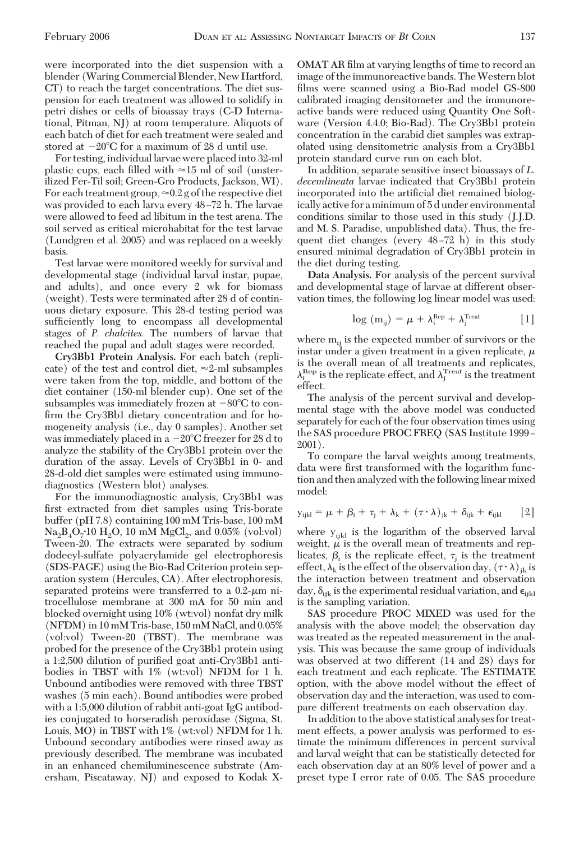were incorporated into the diet suspension with a blender (Waring Commercial Blender, New Hartford, CT) to reach the target concentrations. The diet suspension for each treatment was allowed to solidify in petri dishes or cells of bioassay trays (C-D International, Pitman, NJ) at room temperature. Aliquots of each batch of diet for each treatment were sealed and stored at  $-20^{\circ}\text{C}$  for a maximum of 28 d until use.

For testing, individual larvae were placed into 32-ml plastic cups, each filled with  $\approx 15$  ml of soil (unsterilized Fer-Til soil; Green-Gro Products, Jackson, WI). For each treatment group,  $\approx 0.2$  g of the respective diet was provided to each larva every 48-72 h. The larvae were allowed to feed ad libitum in the test arena. The soil served as critical microhabitat for the test larvae (Lundgren et al. 2005) and was replaced on a weekly basis.

Test larvae were monitored weekly for survival and developmental stage (individual larval instar, pupae, and adults), and once every 2 wk for biomass (weight). Tests were terminated after 28 d of continuous dietary exposure. This 28-d testing period was sufficiently long to encompass all developmental stages of *P. chalcites.* The numbers of larvae that reached the pupal and adult stages were recorded.

**Cry3Bb1 Protein Analysis.** For each batch (replicate) of the test and control diet,  $\approx$ 2-ml subsamples were taken from the top, middle, and bottom of the diet container (150-ml blender cup). One set of the subsamples was immediately frozen at  $-80^{\circ}$ C to confirm the Cry3Bb1 dietary concentration and for homogeneity analysis (i.e., day 0 samples). Another set was immediately placed in a  $-20^{\circ}\mathrm{C}$  freezer for 28 d to analyze the stability of the Cry3Bb1 protein over the duration of the assay. Levels of Cry3Bb1 in 0- and 28-d-old diet samples were estimated using immunodiagnostics (Western blot) analyses.

For the immunodiagnostic analysis, Cry3Bb1 was first extracted from diet samples using Tris-borate buffer (pH 7.8) containing 100 mM Tris-base, 100 mM  $\text{Na}_2\text{B}_4\text{O}_7$ <sup>10</sup> H<sub>2</sub>O, 10 mM MgCl<sub>2</sub>, and 0.05% (vol:vol) Tween-20. The extracts were separated by sodium dodecyl-sulfate polyacrylamide gel electrophoresis (SDS-PAGE) using the Bio-Rad Criterion protein separation system (Hercules, CA). After electrophoresis, separated proteins were transferred to a  $0.2$ - $\mu$ m nitrocellulose membrane at 300 mA for 50 min and blocked overnight using 10% (wt:vol) nonfat dry milk (NFDM) in 10 mM Tris-base, 150 mM NaCl, and 0.05% (vol:vol) Tween-20 (TBST). The membrane was probed for the presence of the Cry3Bb1 protein using a 1:2,500 dilution of purified goat anti-Cry3Bb1 antibodies in TBST with 1% (wt:vol) NFDM for 1 h. Unbound antibodies were removed with three TBST washes (5 min each). Bound antibodies were probed with a 1:5,000 dilution of rabbit anti-goat IgG antibodies conjugated to horseradish peroxidase (Sigma, St. Louis, MO) in TBST with 1% (wt:vol) NFDM for 1 h. Unbound secondary antibodies were rinsed away as previously described. The membrane was incubated in an enhanced chemiluminescence substrate (Amersham, Piscataway, NJ) and exposed to Kodak X- OMAT AR film at varying lengths of time to record an image of the immunoreactive bands. TheWestern blot films were scanned using a Bio-Rad model GS-800 calibrated imaging densitometer and the immunoreactive bands were reduced using Quantity One Software (Version 4.4.0; Bio-Rad). The Cry3Bb1 protein concentration in the carabid diet samples was extrapolated using densitometric analysis from a Cry3Bb1 protein standard curve run on each blot.

In addition, separate sensitive insect bioassays of *L. decemlineata* larvae indicated that Cry3Bb1 protein incorporated into the artificial diet remained biologically active for a minimum of 5 d under environmental conditions similar to those used in this study (J.J.D. and M. S. Paradise, unpublished data). Thus, the frequent diet changes (every  $48-72$  h) in this study ensured minimal degradation of Cry3Bb1 protein in the diet during testing.

**Data Analysis.** For analysis of the percent survival and developmental stage of larvae at different observation times, the following log linear model was used:

$$
\log (m_{ij}) = \mu + \lambda_i^{\text{Rep}} + \lambda_j^{\text{Treat}} \qquad [1]
$$

where  $m_{ij}$  is the expected number of survivors or the instar under a given treatment in a given replicate,  $\mu$ is the overall mean of all treatments and replicates,  $\lambda_i^{\text{Rep}}$  is the replicate effect, and  $\lambda_j^{\text{Tree}t}$  is the treatment effect.

The analysis of the percent survival and developmental stage with the above model was conducted separately for each of the four observation times using the SAS procedure PROC FREQ (SAS Institute 1999 – 2001).

To compare the larval weights among treatments, data were first transformed with the logarithm function and then analyzed with the following linear mixed model:

$$
y_{ijkl} = \mu + \beta_i + \tau_j + \lambda_k + (\tau \cdot \lambda)_{jk} + \delta_{ijk} + \epsilon_{ijkl} \qquad [2]
$$

where  $y_{ijkl}$  is the logarithm of the observed larval weight,  $\mu$  is the overall mean of treatments and replicates,  $\beta_i$  is the replicate effect,  $\tau_i$  is the treatment effect,  $\lambda_k$  is the effect of the observation day,  $(\tau \cdot \lambda)_{jk}$  is the interaction between treatment and observation day,  $\delta_{ijk}$  is the experimental residual variation, and  $\epsilon_{ijkl}$ is the sampling variation.

SAS procedure PROC MIXED was used for the analysis with the above model; the observation day was treated as the repeated measurement in the analysis. This was because the same group of individuals was observed at two different (14 and 28) days for each treatment and each replicate. The ESTIMATE option, with the above model without the effect of observation day and the interaction, was used to compare different treatments on each observation day.

In addition to the above statistical analyses for treatment effects, a power analysis was performed to estimate the minimum differences in percent survival and larval weight that can be statistically detected for each observation day at an 80% level of power and a preset type I error rate of 0.05. The SAS procedure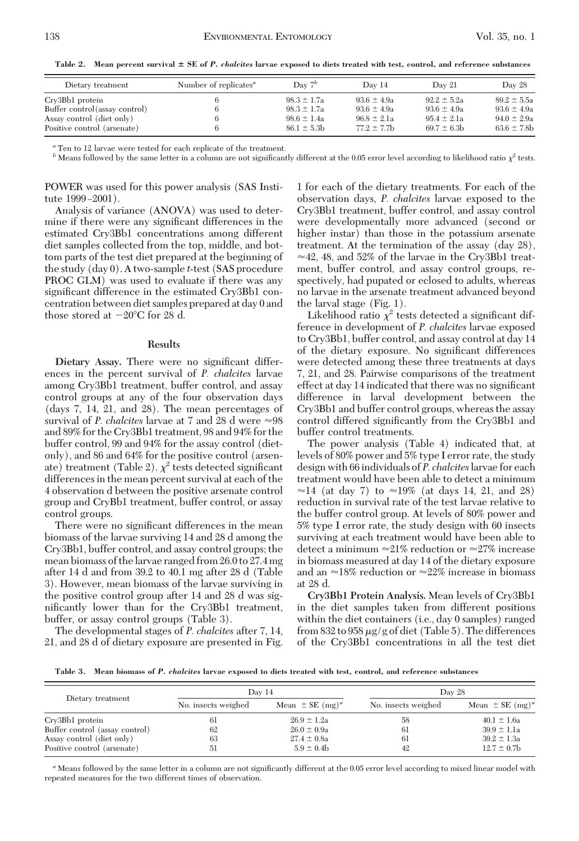**Table 2. Mean percent survival SE of** *P. chalcites* **larvae exposed to diets treated with test, control, and reference substances**

| Dietary treatment              | Number of replicates <sup><i>a</i></sup> | Day $7^b$       | Day 14           | Day 21          | Day 28           |
|--------------------------------|------------------------------------------|-----------------|------------------|-----------------|------------------|
| Cry3Bb1 protein                |                                          | $98.3 \pm 1.7a$ | $93.6 \pm 4.9a$  | $92.2 \pm 5.2a$ | $89.2 \pm 5.5a$  |
| Buffer control (assay control) | 6                                        | $98.3 \pm 1.7a$ | $93.6 \pm 4.9a$  | $93.6 \pm 4.9a$ | $93.6 \pm 4.9a$  |
| Assay control (diet only)      |                                          | $98.6 \pm 1.4a$ | $96.8 \pm 2.1a$  | $95.4 \pm 2.1a$ | $94.0 \pm 2.9a$  |
| Positive control (arsenate)    |                                          | $86.1 \pm 5.3$  | $77.2 \pm 7.7$ b | $69.7 \pm 6.3$  | $63.6 \pm 7.8$ b |
|                                |                                          |                 |                  |                 |                  |

*<sup>a</sup>* Ten to 12 larvae were tested for each replicate of the treatment.

*b* Means followed by the same letter in a column are not significantly different at the 0.05 error level according to likelihood ratio  $\chi^2$  tests.

POWER was used for this power analysis (SAS Institute 1999-2001).

Analysis of variance (ANOVA) was used to determine if there were any significant differences in the estimated Cry3Bb1 concentrations among different diet samples collected from the top, middle, and bottom parts of the test diet prepared at the beginning of the study (day 0). A two-sample *t*-test (SAS procedure PROC GLM) was used to evaluate if there was any significant difference in the estimated Cry3Bb1 concentration between diet samples prepared at day 0 and those stored at  $-20^{\circ}$ C for 28 d.

### **Results**

Dietary Assay. There were no significant differences in the percent survival of *P. chalcites* larvae among Cry3Bb1 treatment, buffer control, and assay control groups at any of the four observation days (days 7, 14, 21, and 28). The mean percentages of survival of *P. chalcites* larvae at 7 and 28 d were  $\approx 98$ and 89% for the Cry3Bb1 treatment, 98 and 94% for the buffer control, 99 and 94% for the assay control (dietonly), and 86 and 64% for the positive control (arsenate) treatment (Table 2).  $\chi^2$  tests detected significant differences in the mean percent survival at each of the 4 observation d between the positive arsenate control group and CryBb1 treatment, buffer control, or assay control groups.

There were no significant differences in the mean biomass of the larvae surviving 14 and 28 d among the Cry3Bb1, buffer control, and assay control groups; the mean biomass of the larvae ranged from 26.0 to 27.4 mg after 14 d and from 39.2 to 40.1 mg after 28 d (Table 3). However, mean biomass of the larvae surviving in the positive control group after 14 and 28 d was significantly lower than for the Cry3Bb1 treatment, buffer, or assay control groups (Table 3).

The developmental stages of *P. chalcites* after 7, 14, 21, and 28 d of dietary exposure are presented in Fig. 1 for each of the dietary treatments. For each of the observation days, *P. chalcites* larvae exposed to the Cry3Bb1 treatment, buffer control, and assay control were developmentally more advanced (second or higher instar) than those in the potassium arsenate treatment. At the termination of the assay (day 28),  $\approx$  42, 48, and 52% of the larvae in the Cry3Bb1 treatment, buffer control, and assay control groups, respectively, had pupated or eclosed to adults, whereas no larvae in the arsenate treatment advanced beyond the larval stage (Fig. 1).

Likelihood ratio  $\chi^2$  tests detected a significant difference in development of *P. chalcites* larvae exposed to Cry3Bb1, buffer control, and assay control at day 14 of the dietary exposure. No significant differences were detected among these three treatments at days 7, 21, and 28. Pairwise comparisons of the treatment effect at day 14 indicated that there was no significant difference in larval development between the Cry3Bb1 and buffer control groups, whereas the assay control differed significantly from the Cry3Bb1 and buffer control treatments.

The power analysis (Table 4) indicated that, at levels of 80% power and 5% type I error rate, the study design with 66 individuals of *P. chalcites*larvae for each treatment would have been able to detect a minimum  $\approx$ 14 (at day 7) to  $\approx$ 19% (at days 14, 21, and 28) reduction in survival rate of the test larvae relative to the buffer control group. At levels of 80% power and 5% type I error rate, the study design with 60 insects surviving at each treatment would have been able to detect a minimum  $\approx 21\%$  reduction or  $\approx 27\%$  increase in biomass measured at day 14 of the dietary exposure and an  $\approx$ 18% reduction or  $\approx$ 22% increase in biomass at 28 d.

**Cry3Bb1 Protein Analysis.** Mean levels of Cry3Bb1 in the diet samples taken from different positions within the diet containers (i.e., day 0 samples) ranged from 832 to 958  $\mu$ g/g of diet (Table 5). The differences of the Cry3Bb1 concentrations in all the test diet

**Table 3. Mean biomass of** *P. chalcites* **larvae exposed to diets treated with test, control, and reference substances**

| Dietary treatment              | Day 14              |                                 | Day 28              |                                 |  |
|--------------------------------|---------------------|---------------------------------|---------------------|---------------------------------|--|
|                                | No. insects weighed | Mean $\pm$ SE (mg) <sup>a</sup> | No. insects weighed | Mean $\pm$ SE (mg) <sup>a</sup> |  |
| Cry3Bb1 protein                | 61                  | $26.9 \pm 1.2a$                 | 58                  | $40.1 \pm 1.6a$                 |  |
| Buffer control (assay control) | 62                  | $26.0 \pm 0.9a$                 | 61                  | $39.9 \pm 1.1a$                 |  |
| Assay control (diet only)      | 63                  | $27.4 \pm 0.8a$                 | 61                  | $39.2 \pm 1.3a$                 |  |
| Positive control (arsenate)    | 51                  | $5.9 \pm 0.4$                   | 42                  | $12.7 \pm 0.7$ b                |  |

<sup>a</sup> Means followed by the same letter in a column are not significantly different at the 0.05 error level according to mixed linear model with repeated measures for the two different times of observation.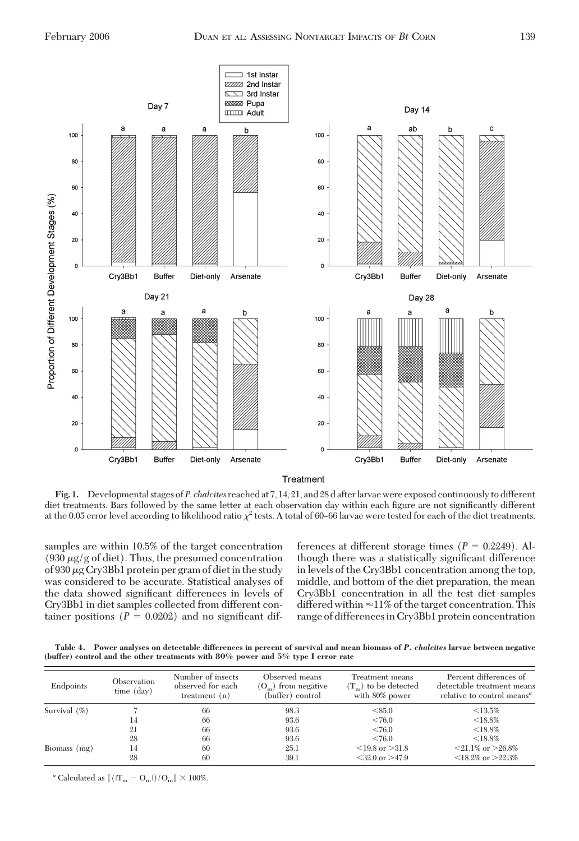

**Fig. 1.** Developmental stages of *P. chalcites* reached at 7, 14, 21, and 28 d afterlarvae were exposed continuously to different diet treatments. Bars followed by the same letter at each observation day within each figure are not significantly different at the 0.05 error level according to likelihood ratio  $\chi^2$  tests. A total of 60–66 larvae were tested for each of the diet treatments.

samples are within 10.5% of the target concentration (930  $\mu$ g/g of diet). Thus, the presumed concentration of 930  $\mu$ g Cry3Bb1 protein per gram of diet in the study was considered to be accurate. Statistical analyses of the data showed significant differences in levels of Cry3Bb1 in diet samples collected from different container positions  $(P = 0.0202)$  and no significant differences at different storage times  $(P = 0.2249)$ . Although there was a statistically significant difference in levels of the Cry3Bb1 concentration among the top, middle, and bottom of the diet preparation, the mean Cry3Bb1 concentration in all the test diet samples differed within  $\approx$ 11% of the target concentration. This range of differencesin Cry3Bb1 protein concentration

**Table 4. Power analyses on detectable differences in percent of survival and mean biomass of** *P. chalcites* **larvae between negative (buffer) control and the other treatments with 80% power and 5% type I error rate**

| Endpoints       | Observation<br>time (day) | Number of insects<br>observed for each<br>treatment $(n)$ | Observed means<br>$(Om)$ from negative<br>(buffer) control | Treatment means<br>$(Tm)$ to be detected<br>with 80% power | Percent differences of<br>detectable treatment means<br>relative to control means <sup>a</sup> |
|-----------------|---------------------------|-----------------------------------------------------------|------------------------------------------------------------|------------------------------------------------------------|------------------------------------------------------------------------------------------------|
| Survival $(\%)$ |                           | 66                                                        | 98.3                                                       | < 85.0                                                     | $< 13.5\%$                                                                                     |
|                 | 14                        | 66                                                        | 93.6                                                       | < 76.0                                                     | $<$ 18.8%                                                                                      |
|                 | 21                        | 66                                                        | 93.6                                                       | < 76.0                                                     | $<$ 18.8%                                                                                      |
|                 | 28                        | 66                                                        | 93.6                                                       | < 76.0                                                     | $<$ 18.8%                                                                                      |
| Biomass $(mg)$  | 14                        | 60                                                        | 25.1                                                       | $\leq$ 19.8 or $>$ 31.8                                    | $\leq$ 21.1% or $>$ 26.8%                                                                      |
|                 | 28                        | 60                                                        | 39.1                                                       | $<$ 32.0 or $>$ 47.9                                       | $\leq$ 18.2% or $>$ 22.3%                                                                      |

 $^a$  Calculated as  $\left[\,\left(\left|\mathbf{T_m}-\mathbf{O_m}\right|\right)/\mathbf{O_m}\right]\,\times\,100\%$ .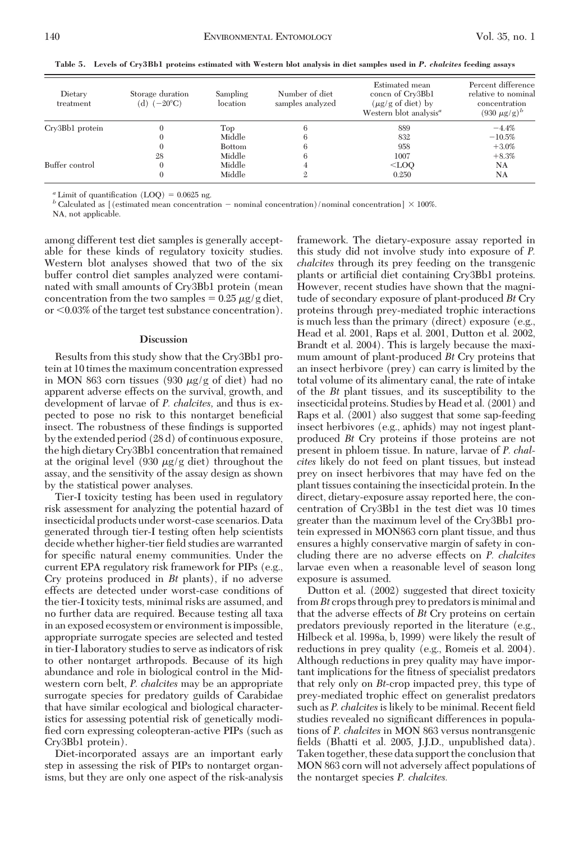| Dietary<br>treatment | Storage duration<br>(d) $(-20^{\circ}C)$ | Sampling<br>location | Number of diet<br>samples analyzed | Estimated mean<br>concn of Cry3Bb1<br>$(\mu g/g \text{ of diet})$ by<br>Western blot analysis <sup>a</sup> | Percent difference<br>relative to nominal<br>concentration<br>$(930 \mu g/g)^b$ |
|----------------------|------------------------------------------|----------------------|------------------------------------|------------------------------------------------------------------------------------------------------------|---------------------------------------------------------------------------------|
| Crv3Bb1 protein      |                                          | Top                  |                                    | 889                                                                                                        | $-4.4%$                                                                         |
|                      |                                          | Middle               |                                    | 832                                                                                                        | $-10.5%$                                                                        |
|                      |                                          | <b>Bottom</b>        | h                                  | 958                                                                                                        | $+3.0\%$                                                                        |
|                      | 28                                       | Middle               | 6                                  | 1007                                                                                                       | $+8.3%$                                                                         |
| Buffer control       |                                          | Middle               |                                    | $<$ LOO                                                                                                    | <b>NA</b>                                                                       |
|                      |                                          | Middle               |                                    | 0.250                                                                                                      | NA                                                                              |

**Table 5. Levels of Cry3Bb1 proteins estimated with Western blot analysis in diet samples used in** *P. chalcites* **feeding assays**

 $a$  Limit of quantification (LOQ) = 0.0625 ng.<br>*b* Calculated as [(estimated mean concentration – nominal concentration)/nominal concentration] × 100%.

NA, not applicable.

among different test diet samples is generally acceptable for these kinds of regulatory toxicity studies. Western blot analyses showed that two of the six buffer control diet samples analyzed were contaminated with small amounts of Cry3Bb1 protein (mean concentration from the two samples  $= 0.25 \mu g/g$  diet, or  $0.03\%$  of the target test substance concentration).

## **Discussion**

Results from this study show that the Cry3Bb1 protein at 10 times the maximum concentration expressed in MON 863 corn tissues (930  $\mu$ g/g of diet) had no apparent adverse effects on the survival, growth, and development of larvae of *P. chalcites,* and thus is expected to pose no risk to this nontarget beneficial insect. The robustness of these findings is supported by the extended period (28 d) of continuous exposure, the high dietary Cry3Bb1 concentration that remained at the original level (930  $\mu$ g/g diet) throughout the assay, and the sensitivity of the assay design as shown by the statistical power analyses.

Tier-I toxicity testing has been used in regulatory risk assessment for analyzing the potential hazard of insecticidal products under worst-case scenarios. Data generated through tier-I testing often help scientists decide whether higher-tier field studies are warranted for specific natural enemy communities. Under the current EPA regulatory risk framework for PIPs (e.g., Cry proteins produced in *Bt* plants), if no adverse effects are detected under worst-case conditions of the tier-I toxicity tests, minimal risks are assumed, and no further data are required. Because testing all taxa in an exposed ecosystem or environment is impossible, appropriate surrogate species are selected and tested in tier-I laboratory studies to serve as indicators of risk to other nontarget arthropods. Because of its high abundance and role in biological control in the Midwestern corn belt, *P. chalcites* may be an appropriate surrogate species for predatory guilds of Carabidae that have similar ecological and biological characteristics for assessing potential risk of genetically modified corn expressing coleopteran-active PIPs (such as Cry3Bb1 protein).

Diet-incorporated assays are an important early step in assessing the risk of PIPs to nontarget organisms, but they are only one aspect of the risk-analysis framework. The dietary-exposure assay reported in this study did not involve study into exposure of *P. chalcites* through its prey feeding on the transgenic plants or artificial diet containing Cry3Bb1 proteins. However, recent studies have shown that the magnitude of secondary exposure of plant-produced *Bt* Cry proteins through prey-mediated trophic interactions is much less than the primary (direct) exposure (e.g., Head et al. 2001, Raps et al. 2001, Dutton et al. 2002, Brandt et al. 2004). This is largely because the maximum amount of plant-produced *Bt* Cry proteins that an insect herbivore (prey) can carry is limited by the total volume of its alimentary canal, the rate of intake of the *Bt* plant tissues, and its susceptibility to the insecticidal proteins. Studies by Head et al. (2001) and Raps et al. (2001) also suggest that some sap-feeding insect herbivores (e.g., aphids) may not ingest plantproduced *Bt* Cry proteins if those proteins are not present in phloem tissue. In nature, larvae of *P. chalcites* likely do not feed on plant tissues, but instead prey on insect herbivores that may have fed on the plant tissues containing the insecticidal protein. In the direct, dietary-exposure assay reported here, the concentration of Cry3Bb1 in the test diet was 10 times greater than the maximum level of the Cry3Bb1 protein expressed in MON863 corn plant tissue, and thus ensures a highly conservative margin of safety in concluding there are no adverse effects on *P. chalcites* larvae even when a reasonable level of season long exposure is assumed.

Dutton et al. (2002) suggested that direct toxicity from *Bt* crops through prey to predatorsis minimal and that the adverse effects of *Bt* Cry proteins on certain predators previously reported in the literature (e.g., Hilbeck et al. 1998a, b, 1999) were likely the result of reductions in prey quality (e.g., Romeis et al. 2004). Although reductions in prey quality may have important implications for the fitness of specialist predators that rely only on *Bt*-crop impacted prey, this type of prey-mediated trophic effect on generalist predators such as *P. chalcites* is likely to be minimal. Recent field studies revealed no significant differences in populations of *P. chalcites* in MON 863 versus nontransgenic fields (Bhatti et al. 2005, J.J.D., unpublished data). Taken together, these data support the conclusion that MON 863 corn will not adversely affect populations of the nontarget species *P. chalcites.*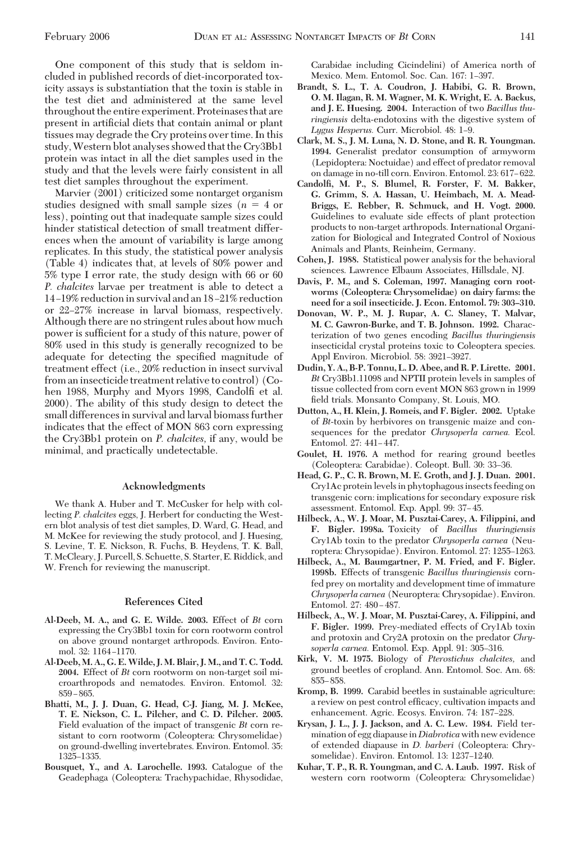One component of this study that is seldom included in published records of diet-incorporated toxicity assays is substantiation that the toxin is stable in the test diet and administered at the same level throughout the entire experiment. Proteinases that are present in artificial diets that contain animal or plant tissues may degrade the Cry proteins over time. In this study,Western blot analyses showed that the Cry3Bb1 protein was intact in all the diet samples used in the study and that the levels were fairly consistent in all test diet samples throughout the experiment.

Marvier (2001) criticized some nontarget organism studies designed with small sample sizes  $(n = 4 \text{ or }$ less), pointing out that inadequate sample sizes could hinder statistical detection of small treatment differences when the amount of variability is large among replicates. In this study, the statistical power analysis (Table 4) indicates that, at levels of 80% power and 5% type I error rate, the study design with 66 or 60 *P. chalcites* larvae per treatment is able to detect a 14-19% reduction in survival and an 18-21% reduction or 22–27% increase in larval biomass, respectively. Although there are no stringent rules about how much power is sufficient for a study of this nature, power of 80% used in this study is generally recognized to be adequate for detecting the specified magnitude of treatment effect (i.e., 20% reduction in insect survival from aninsecticide treatment relative to control) (Cohen 1988, Murphy and Myors 1998, Candolfi et al. 2000). The ability of this study design to detect the small differences in survival and larval biomass further indicates that the effect of MON 863 corn expressing the Cry3Bb1 protein on *P. chalcites,* if any, would be minimal, and practically undetectable.

### **Acknowledgments**

We thank A. Huber and T. McCusker for help with collecting *P. chalcites* eggs, J. Herbert for conducting the Western blot analysis of test diet samples, D. Ward, G. Head, and M. McKee for reviewing the study protocol, and J. Huesing, S. Levine, T. E. Nickson, R. Fuchs, B. Heydens, T. K. Ball, T. McCleary, J. Purcell, S. Schuette, S. Starter, E. Riddick, and W. French for reviewing the manuscript.

#### **References Cited**

- **Al-Deeb, M. A., and G. E. Wilde. 2003.** Effect of *Bt* corn expressing the Cry3Bb1 toxin for corn rootworm control on above ground nontarget arthropods. Environ. Entomol. 32: 1164-1170.
- **Al-Deeb, M. A., G. E.Wilde, J. M. Blair, J. M., and T. C. Todd. 2004.** Effect of *Bt* corn rootworm on non-target soil microarthropods and nematodes. Environ. Entomol. 32:  $859 - 865.$
- **Bhatti, M., J. J. Duan, G. Head, C-J. Jiang, M. J. McKee, T. E. Nickson, C. L. Pilcher, and C. D. Pilcher. 2005.** Field evaluation of the impact of transgenic *Bt* corn resistant to corn rootworm (Coleoptera: Chrysomelidae) on ground-dwelling invertebrates. Environ. Entomol. 35: 1325-1335.
- **Bousquet, Y., and A. Larochelle. 1993.** Catalogue of the Geadephaga (Coleoptera: Trachypachidae, Rhysodidae,

Carabidae including Cicindelini) of America north of Mexico. Mem. Entomol. Soc. Can. 167: 1-397.

- **Brandt, S. L., T. A. Coudron, J. Habibi, G. R. Brown, O. M. Ilagan, R. M. Wagner, M. K. Wright, E. A. Backus, and J. E. Huesing. 2004.** Interaction of two *Bacillus thuringiensis* delta-endotoxins with the digestive system of *Lygus Hesperus.* Curr. Microbiol. 48: 1-9.
- **Clark, M. S., J. M. Luna, N. D. Stone, and R. R. Youngman. 1994.** Generalist predator consumption of armyworm (Lepidoptera: Noctuidae) and effect of predator removal on damage in no-till corn. Environ. Entomol. 23: 617-622.
- **Candolfi, M. P., S. Blumel, R. Forster, F. M. Bakker, G. Grimm, S. A. Hassan, U. Heimbach, M. A. Mead-Briggs, E. Rebber, R. Schmuck, and H. Vogt. 2000.** Guidelines to evaluate side effects of plant protection products to non-target arthropods. International Organization for Biological and Integrated Control of Noxious Animals and Plants, Reinheim, Germany.
- **Cohen, J. 1988.** Statistical power analysis for the behavioral sciences. Lawrence Elbaum Associates, Hillsdale, NJ.
- **Davis, P. M., and S. Coleman, 1997. Managing corn rootworms (Coleoptera: Chrysomelidae) on dairy farms: the need for a soil insecticide. J. Econ. Entomol. 79: 303–310.**
- **Donovan, W. P., M. J. Rupar, A. C. Slaney, T. Malvar, M. C. Gawron-Burke, and T. B. Johnson. 1992.** Characterization of two genes encoding *Bacillus thuringiensis* insecticidal crystal proteins toxic to Coleoptera species. Appl Environ. Microbiol. 58: 3921-3927.
- **Dudin, Y. A., B-P. Tonnu, L. D. Abee, and R. P. Lirette. 2001.** *Bt* Cry3Bb1.11098 and NPTII protein levels in samples of tissue collected from corn event MON 863 grown in 1999 field trials. Monsanto Company, St. Louis, MO.
- **Dutton, A., H. Klein, J. Romeis, and F. Bigler. 2002.** Uptake of *Bt*-toxin by herbivores on transgenic maize and consequences for the predator *Chrysoperla carnea.* Ecol. Entomol. 27: 441-447.
- **Goulet, H. 1976.** A method for rearing ground beetles (Coleoptera: Carabidae). Coleopt. Bull. 30: 33-36.
- **Head, G. P., C. R. Brown, M. E. Groth, and J. J. Duan. 2001.** Cry1Ac protein levels in phytophagous insects feeding on transgenic corn: implications for secondary exposure risk assessment. Entomol. Exp. Appl. 99: 37-45.
- **Hilbeck, A., W. J. Moar, M. Pusztai-Carey, A. Filippini, and F. Bigler. 1998a.** Toxicity of *Bacillus thuringiensis* Cry1Ab toxin to the predator *Chrysoperla carnea* (Neuroptera: Chrysopidae). Environ. Entomol. 27: 1255-1263.
- **Hilbeck, A., M. Baumgartner, P. M. Fried, and F. Bigler. 1998b.** Effects of transgenic *Bacillus thuringiensis* cornfed prey on mortality and development time of immature *Chrysoperla carnea* (Neuroptera: Chrysopidae). Environ. Entomol. 27: 480-487.
- **Hilbeck, A., W. J. Moar, M. Pusztai-Carey, A. Filippini, and F. Bigler. 1999.** Prey-mediated effects of Cry1Ab toxin and protoxin and Cry2A protoxin on the predator *Chry*soperla carnea. Entomol. Exp. Appl. 91: 305-316.
- **Kirk, V. M. 1975.** Biology of *Pterostichus chalcites,* and ground beetles of cropland. Ann. Entomol. Soc. Am. 68: 855-858.
- **Kromp, B. 1999.** Carabid beetles in sustainable agriculture: a review on pest control efficacy, cultivation impacts and enhancement. Agric. Ecosys. Environ. 74: 187-228.
- **Krysan, J. L., J. J. Jackson, and A. C. Lew. 1984.** Field termination of egg diapausein*Diabrotica*with new evidence of extended diapause in *D. barberi* (Coleoptera: Chrysomelidae). Environ. Entomol. 13: 1237-1240.
- **Kuhar, T. P., R. R. Youngman, and C. A. Laub. 1997.** Risk of western corn rootworm (Coleoptera: Chrysomelidae)